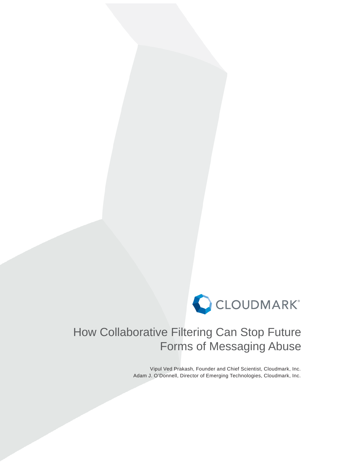

# How Collaborative Filtering Can Stop Future Forms of Messaging Abuse

Vipul Ved Prakash, Founder and Chief Scientist, Cloudmark, Inc. Adam J. O'Donnell, Director of Emerging Technologies, Cloudmark, Inc.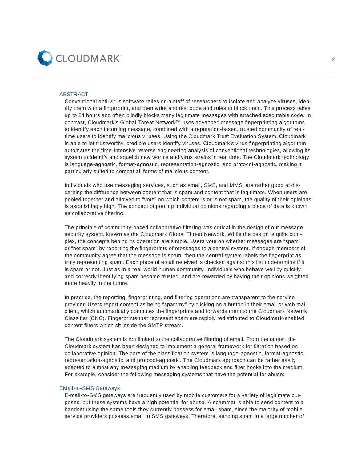

## ABSTRACT

Conventional anti-virus software relies on a staff of researchers to isolate and analyze viruses, identify them with a fingerprint, and then write and test code and rules to block them. This process takes up to 24 hours and often blindly blocks many legitimate messages with attached executable code. In contrast, Cloudmark's Global Threat Network™ uses advanced message fingerprinting algorithms to identify each incoming message, combined with a reputation-based, trusted community of realtime users to identify malicious viruses. Using the Cloudmark Trust Evaluation System, Cloudmark is able to let trustworthy, credible users identify viruses. Cloudmark's virus fingerprinting algorithm automates the time-intensive reverse engineering analysis of conventional technologies, allowing its system to identify and squelch new worms and virus strains in real time. The Cloudmark technology is language-agnostic, format-agnostic, representation-agnostic, and protocol-agnostic, making it particularly suited to combat all forms of malicious content.

Individuals who use messaging services, such as email, SMS, and MMS, are rather good at discerning the difference between content that is spam and content that is legitimate. When users are pooled together and allowed to "vote" on which content is or is not spam, the quality of their opinions is astonishingly high. The concept of pooling individual opinions regarding a piece of data is known as collaborative filtering.

The principle of community-based collaborative filtering was critical in the design of our message security system, known as the Cloudmark Global Threat Network. While the design is quite complex, the concepts behind its operation are simple. Users vote on whether messages are "spam" or "not spam" by reporting the fingerprints of messages to a central system. If enough members of the community agree that the message is spam, then the central system labels the fingerprint as truly representing spam. Each piece of email received is checked against this list to determine if it is spam or not. Just as in a real-world human community, individuals who behave well by quickly and correctly identifying spam become trusted, and are rewarded by having their opinions weighted more heavily in the future.

In practice, the reporting, fingerprinting, and filtering operations are transparent to the service provider. Users report content as being "spammy" by clicking on a button in their email or web mail client, which automatically computes the fingerprints and forwards them to the Cloudmark Network Classifier (CNC). Fingerprints that represent spam are rapidly redistributed to Cloudmark-enabled content filters which sit inside the SMTP stream.

The Cloudmark system is not limited to the collaborative filtering of email. From the outset, the Cloudmark system has been designed to implement a general framework for filtration based on collaborative opinion. The core of the classification system is language-agnostic, format-agnostic, representation-agnostic, and protocol-agnostic. The Cloudmark approach can be rather easily adapted to almost any messaging medium by enabling feedback and filter hooks into the medium. For example, consider the following messaging systems that have the potential for abuse:

## EMail-to-SMS Gateways

 E-mail-to-SMS gateways are frequently used by mobile customers for a variety of legitimate purposes, but these systems have a high potential for abuse. A spammer is able to send content to a handset using the same tools they currently possess for email spam, since the majority of mobile service providers possess email to SMS gateways. Therefore, sending spam to a large number of